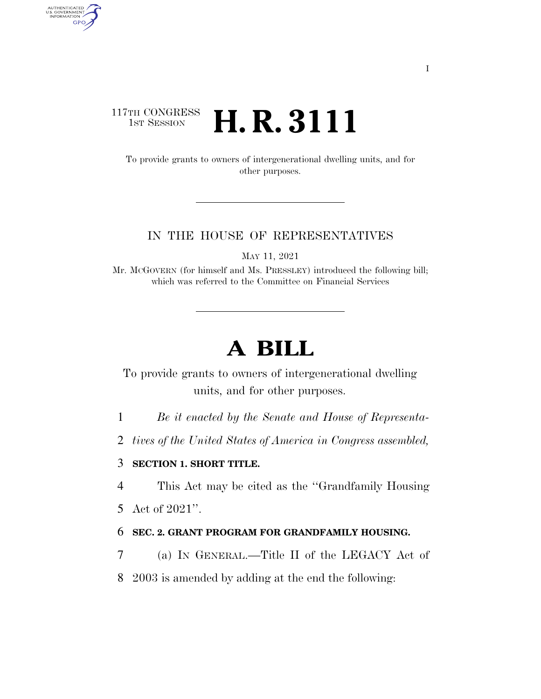## 117TH CONGRESS <sup>TH CONGRESS</sup> **H. R. 3111**

AUTHENTICATED<br>U.S. GOVERNMENT<br>INFORMATION GPO

> To provide grants to owners of intergenerational dwelling units, and for other purposes.

### IN THE HOUSE OF REPRESENTATIVES

MAY 11, 2021

Mr. MCGOVERN (for himself and Ms. PRESSLEY) introduced the following bill; which was referred to the Committee on Financial Services

# **A BILL**

To provide grants to owners of intergenerational dwelling units, and for other purposes.

1 *Be it enacted by the Senate and House of Representa-*

2 *tives of the United States of America in Congress assembled,* 

3 **SECTION 1. SHORT TITLE.** 

4 This Act may be cited as the ''Grandfamily Housing

5 Act of 2021''.

### 6 **SEC. 2. GRANT PROGRAM FOR GRANDFAMILY HOUSING.**

7 (a) IN GENERAL.—Title II of the LEGACY Act of

8 2003 is amended by adding at the end the following: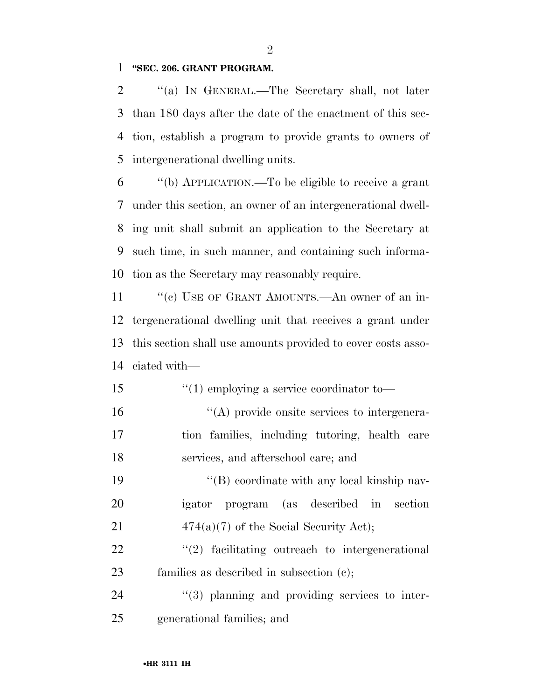#### **''SEC. 206. GRANT PROGRAM.**

2 "(a) IN GENERAL.—The Secretary shall, not later than 180 days after the date of the enactment of this sec- tion, establish a program to provide grants to owners of intergenerational dwelling units.

 ''(b) APPLICATION.—To be eligible to receive a grant under this section, an owner of an intergenerational dwell- ing unit shall submit an application to the Secretary at such time, in such manner, and containing such informa-tion as the Secretary may reasonably require.

11 ""(c) USE OF GRANT AMOUNTS.—An owner of an in- tergenerational dwelling unit that receives a grant under this section shall use amounts provided to cover costs asso-ciated with—

 ''(1) employing a service coordinator to— ''(A) provide onsite services to intergenera- tion families, including tutoring, health care services, and afterschool care; and

19 ''(B) coordinate with any local kinship nav- igator program (as described in section 21  $474(a)(7)$  of the Social Security Act);

22  $\frac{1}{2}$  facilitating outreach to intergenerational families as described in subsection (c);

24  $\frac{1}{3}$  planning and providing services to inter-generational families; and

 $\mathfrak{D}$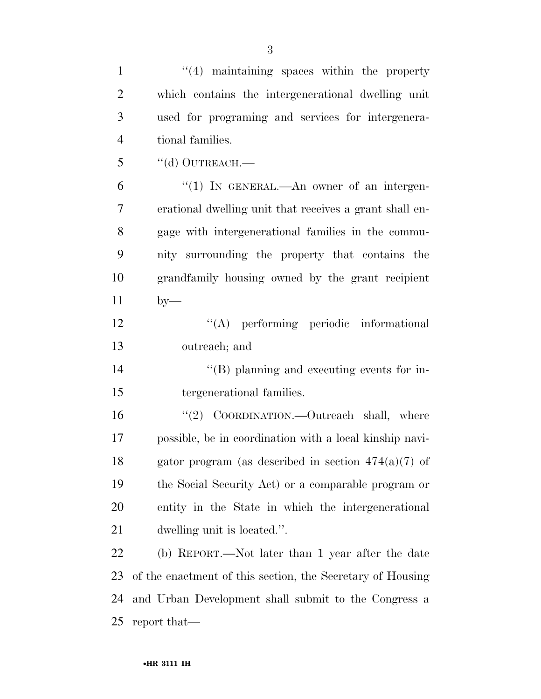| $\mathbf{1}$   | $\lq(4)$ maintaining spaces within the property            |
|----------------|------------------------------------------------------------|
| $\overline{2}$ | which contains the intergenerational dwelling unit         |
| 3              | used for programing and services for intergenera-          |
| $\overline{4}$ | tional families.                                           |
| 5              | $``$ (d) OUTREACH.—                                        |
| 6              | "(1) IN GENERAL.—An owner of an intergen-                  |
| 7              | erational dwelling unit that receives a grant shall en-    |
| 8              | gage with intergenerational families in the commu-         |
| 9              | nity surrounding the property that contains the            |
| 10             | grandfamily housing owned by the grant recipient           |
| 11             | $by-$                                                      |
| 12             | "(A) performing periodic informational                     |
| 13             | outreach; and                                              |
| 14             | $\lq\lq (B)$ planning and executing events for in-         |
| 15             | tergenerational families.                                  |
| 16             | "(2) COORDINATION.—Outreach shall, where                   |
| 17             | possible, be in coordination with a local kinship navi-    |
| 18             | gator program (as described in section $474(a)(7)$ of      |
| 19             | the Social Security Act) or a comparable program or        |
| 20             | entity in the State in which the intergenerational         |
| 21             | dwelling unit is located.".                                |
| 22             | (b) REPORT.—Not later than 1 year after the date           |
| 23             | of the enactment of this section, the Secretary of Housing |
| 24             | and Urban Development shall submit to the Congress a       |
| 25             | report that—                                               |